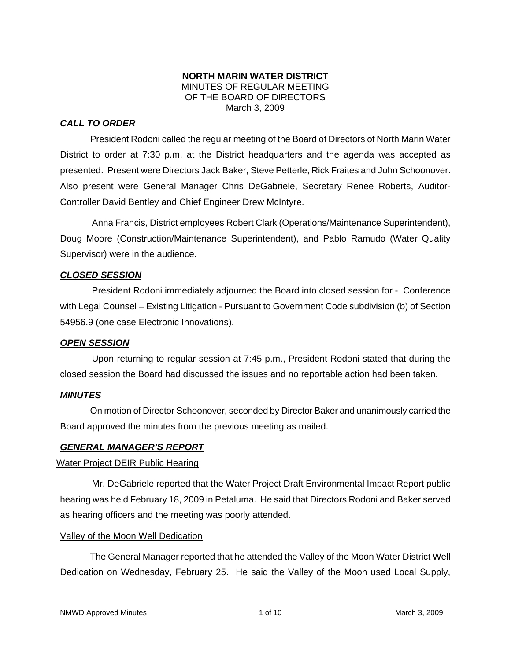## **NORTH MARIN WATER DISTRICT**  MINUTES OF REGULAR MEETING OF THE BOARD OF DIRECTORS March 3, 2009

# *CALL TO ORDER*

President Rodoni called the regular meeting of the Board of Directors of North Marin Water District to order at 7:30 p.m. at the District headquarters and the agenda was accepted as presented. Present were Directors Jack Baker, Steve Petterle, Rick Fraites and John Schoonover. Also present were General Manager Chris DeGabriele, Secretary Renee Roberts, Auditor-Controller David Bentley and Chief Engineer Drew McIntyre.

Anna Francis, District employees Robert Clark (Operations/Maintenance Superintendent), Doug Moore (Construction/Maintenance Superintendent), and Pablo Ramudo (Water Quality Supervisor) were in the audience.

## *CLOSED SESSION*

President Rodoni immediately adjourned the Board into closed session for - Conference with Legal Counsel – Existing Litigation - Pursuant to Government Code subdivision (b) of Section 54956.9 (one case Electronic Innovations).

## *OPEN SESSION*

Upon returning to regular session at 7:45 p.m., President Rodoni stated that during the closed session the Board had discussed the issues and no reportable action had been taken.

## *MINUTES*

 On motion of Director Schoonover, seconded by Director Baker and unanimously carried the Board approved the minutes from the previous meeting as mailed.

## *GENERAL MANAGER'S REPORT*

## Water Project DEIR Public Hearing

Mr. DeGabriele reported that the Water Project Draft Environmental Impact Report public hearing was held February 18, 2009 in Petaluma. He said that Directors Rodoni and Baker served as hearing officers and the meeting was poorly attended.

## Valley of the Moon Well Dedication

 The General Manager reported that he attended the Valley of the Moon Water District Well Dedication on Wednesday, February 25. He said the Valley of the Moon used Local Supply,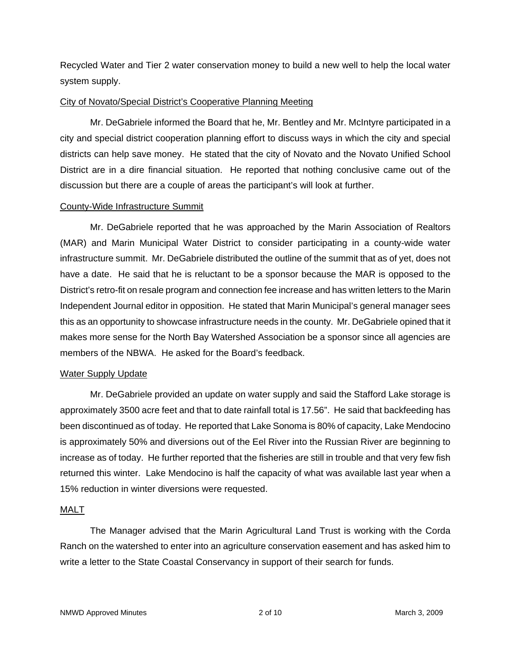Recycled Water and Tier 2 water conservation money to build a new well to help the local water system supply.

### City of Novato/Special District's Cooperative Planning Meeting

Mr. DeGabriele informed the Board that he, Mr. Bentley and Mr. McIntyre participated in a city and special district cooperation planning effort to discuss ways in which the city and special districts can help save money. He stated that the city of Novato and the Novato Unified School District are in a dire financial situation. He reported that nothing conclusive came out of the discussion but there are a couple of areas the participant's will look at further.

### County-Wide Infrastructure Summit

Mr. DeGabriele reported that he was approached by the Marin Association of Realtors (MAR) and Marin Municipal Water District to consider participating in a county-wide water infrastructure summit. Mr. DeGabriele distributed the outline of the summit that as of yet, does not have a date. He said that he is reluctant to be a sponsor because the MAR is opposed to the District's retro-fit on resale program and connection fee increase and has written letters to the Marin Independent Journal editor in opposition. He stated that Marin Municipal's general manager sees this as an opportunity to showcase infrastructure needs in the county. Mr. DeGabriele opined that it makes more sense for the North Bay Watershed Association be a sponsor since all agencies are members of the NBWA. He asked for the Board's feedback.

## Water Supply Update

Mr. DeGabriele provided an update on water supply and said the Stafford Lake storage is approximately 3500 acre feet and that to date rainfall total is 17.56". He said that backfeeding has been discontinued as of today. He reported that Lake Sonoma is 80% of capacity, Lake Mendocino is approximately 50% and diversions out of the Eel River into the Russian River are beginning to increase as of today. He further reported that the fisheries are still in trouble and that very few fish returned this winter. Lake Mendocino is half the capacity of what was available last year when a 15% reduction in winter diversions were requested.

#### MALT

The Manager advised that the Marin Agricultural Land Trust is working with the Corda Ranch on the watershed to enter into an agriculture conservation easement and has asked him to write a letter to the State Coastal Conservancy in support of their search for funds.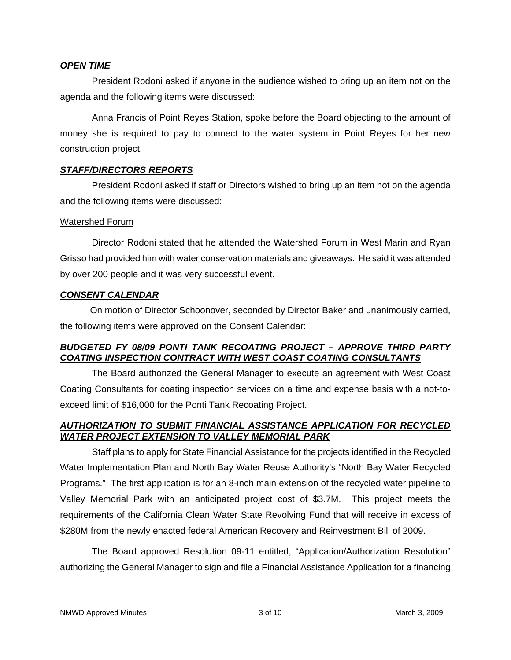### *OPEN TIME*

President Rodoni asked if anyone in the audience wished to bring up an item not on the agenda and the following items were discussed:

Anna Francis of Point Reyes Station, spoke before the Board objecting to the amount of money she is required to pay to connect to the water system in Point Reyes for her new construction project.

## *STAFF/DIRECTORS REPORTS*

President Rodoni asked if staff or Directors wished to bring up an item not on the agenda and the following items were discussed:

### Watershed Forum

Director Rodoni stated that he attended the Watershed Forum in West Marin and Ryan Grisso had provided him with water conservation materials and giveaways. He said it was attended by over 200 people and it was very successful event.

## *CONSENT CALENDAR*

 On motion of Director Schoonover, seconded by Director Baker and unanimously carried, the following items were approved on the Consent Calendar:

## *BUDGETED FY 08/09 PONTI TANK RECOATING PROJECT – APPROVE THIRD PARTY COATING INSPECTION CONTRACT WITH WEST COAST COATING CONSULTANTS*

The Board authorized the General Manager to execute an agreement with West Coast Coating Consultants for coating inspection services on a time and expense basis with a not-toexceed limit of \$16,000 for the Ponti Tank Recoating Project.

## *AUTHORIZATION TO SUBMIT FINANCIAL ASSISTANCE APPLICATION FOR RECYCLED WATER PROJECT EXTENSION TO VALLEY MEMORIAL PARK*

Staff plans to apply for State Financial Assistance for the projects identified in the Recycled Water Implementation Plan and North Bay Water Reuse Authority's "North Bay Water Recycled Programs." The first application is for an 8-inch main extension of the recycled water pipeline to Valley Memorial Park with an anticipated project cost of \$3.7M. This project meets the requirements of the California Clean Water State Revolving Fund that will receive in excess of \$280M from the newly enacted federal American Recovery and Reinvestment Bill of 2009.

The Board approved Resolution 09-11 entitled, "Application/Authorization Resolution" authorizing the General Manager to sign and file a Financial Assistance Application for a financing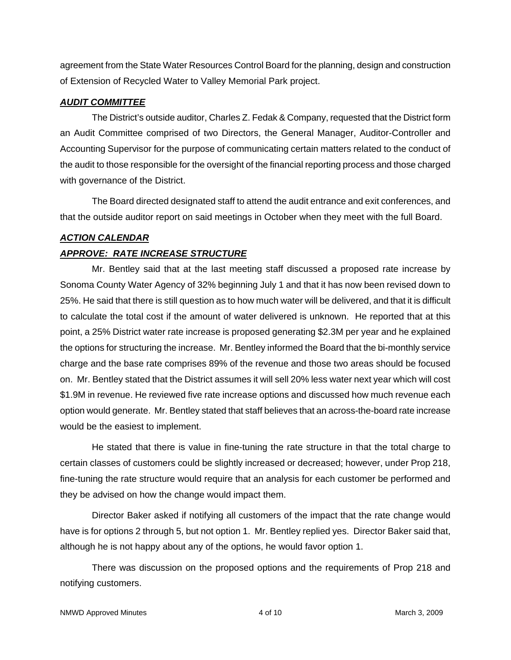agreement from the State Water Resources Control Board for the planning, design and construction of Extension of Recycled Water to Valley Memorial Park project.

## *AUDIT COMMITTEE*

The District's outside auditor, Charles Z. Fedak & Company, requested that the District form an Audit Committee comprised of two Directors, the General Manager, Auditor-Controller and Accounting Supervisor for the purpose of communicating certain matters related to the conduct of the audit to those responsible for the oversight of the financial reporting process and those charged with governance of the District.

The Board directed designated staff to attend the audit entrance and exit conferences, and that the outside auditor report on said meetings in October when they meet with the full Board.

# *ACTION CALENDAR*

# *APPROVE: RATE INCREASE STRUCTURE*

Mr. Bentley said that at the last meeting staff discussed a proposed rate increase by Sonoma County Water Agency of 32% beginning July 1 and that it has now been revised down to 25%. He said that there is still question as to how much water will be delivered, and that it is difficult to calculate the total cost if the amount of water delivered is unknown. He reported that at this point, a 25% District water rate increase is proposed generating \$2.3M per year and he explained the options for structuring the increase. Mr. Bentley informed the Board that the bi-monthly service charge and the base rate comprises 89% of the revenue and those two areas should be focused on. Mr. Bentley stated that the District assumes it will sell 20% less water next year which will cost \$1.9M in revenue. He reviewed five rate increase options and discussed how much revenue each option would generate. Mr. Bentley stated that staff believes that an across-the-board rate increase would be the easiest to implement.

He stated that there is value in fine-tuning the rate structure in that the total charge to certain classes of customers could be slightly increased or decreased; however, under Prop 218, fine-tuning the rate structure would require that an analysis for each customer be performed and they be advised on how the change would impact them.

Director Baker asked if notifying all customers of the impact that the rate change would have is for options 2 through 5, but not option 1. Mr. Bentley replied yes. Director Baker said that, although he is not happy about any of the options, he would favor option 1.

There was discussion on the proposed options and the requirements of Prop 218 and notifying customers.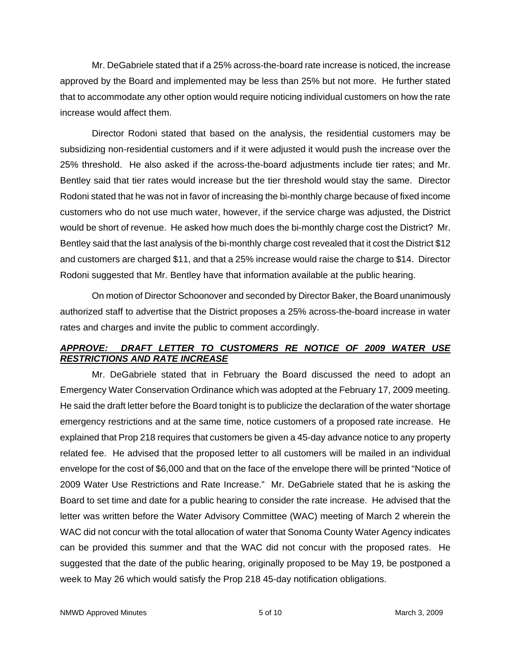Mr. DeGabriele stated that if a 25% across-the-board rate increase is noticed, the increase approved by the Board and implemented may be less than 25% but not more. He further stated that to accommodate any other option would require noticing individual customers on how the rate increase would affect them.

Director Rodoni stated that based on the analysis, the residential customers may be subsidizing non-residential customers and if it were adjusted it would push the increase over the 25% threshold. He also asked if the across-the-board adjustments include tier rates; and Mr. Bentley said that tier rates would increase but the tier threshold would stay the same. Director Rodoni stated that he was not in favor of increasing the bi-monthly charge because of fixed income customers who do not use much water, however, if the service charge was adjusted, the District would be short of revenue. He asked how much does the bi-monthly charge cost the District? Mr. Bentley said that the last analysis of the bi-monthly charge cost revealed that it cost the District \$12 and customers are charged \$11, and that a 25% increase would raise the charge to \$14. Director Rodoni suggested that Mr. Bentley have that information available at the public hearing.

On motion of Director Schoonover and seconded by Director Baker, the Board unanimously authorized staff to advertise that the District proposes a 25% across-the-board increase in water rates and charges and invite the public to comment accordingly.

# *APPROVE: DRAFT LETTER TO CUSTOMERS RE NOTICE OF 2009 WATER USE RESTRICTIONS AND RATE INCREASE*

Mr. DeGabriele stated that in February the Board discussed the need to adopt an Emergency Water Conservation Ordinance which was adopted at the February 17, 2009 meeting. He said the draft letter before the Board tonight is to publicize the declaration of the water shortage emergency restrictions and at the same time, notice customers of a proposed rate increase. He explained that Prop 218 requires that customers be given a 45-day advance notice to any property related fee. He advised that the proposed letter to all customers will be mailed in an individual envelope for the cost of \$6,000 and that on the face of the envelope there will be printed "Notice of 2009 Water Use Restrictions and Rate Increase." Mr. DeGabriele stated that he is asking the Board to set time and date for a public hearing to consider the rate increase. He advised that the letter was written before the Water Advisory Committee (WAC) meeting of March 2 wherein the WAC did not concur with the total allocation of water that Sonoma County Water Agency indicates can be provided this summer and that the WAC did not concur with the proposed rates. He suggested that the date of the public hearing, originally proposed to be May 19, be postponed a week to May 26 which would satisfy the Prop 218 45-day notification obligations.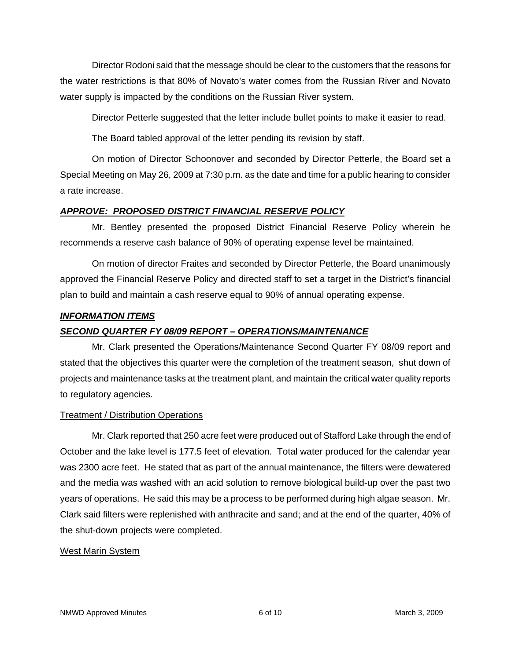Director Rodoni said that the message should be clear to the customers that the reasons for the water restrictions is that 80% of Novato's water comes from the Russian River and Novato water supply is impacted by the conditions on the Russian River system.

Director Petterle suggested that the letter include bullet points to make it easier to read.

The Board tabled approval of the letter pending its revision by staff.

On motion of Director Schoonover and seconded by Director Petterle, the Board set a Special Meeting on May 26, 2009 at 7:30 p.m. as the date and time for a public hearing to consider a rate increase.

## *APPROVE: PROPOSED DISTRICT FINANCIAL RESERVE POLICY*

Mr. Bentley presented the proposed District Financial Reserve Policy wherein he recommends a reserve cash balance of 90% of operating expense level be maintained.

On motion of director Fraites and seconded by Director Petterle, the Board unanimously approved the Financial Reserve Policy and directed staff to set a target in the District's financial plan to build and maintain a cash reserve equal to 90% of annual operating expense.

## *INFORMATION ITEMS*

# *SECOND QUARTER FY 08/09 REPORT – OPERATIONS/MAINTENANCE*

Mr. Clark presented the Operations/Maintenance Second Quarter FY 08/09 report and stated that the objectives this quarter were the completion of the treatment season, shut down of projects and maintenance tasks at the treatment plant, and maintain the critical water quality reports to regulatory agencies.

## Treatment / Distribution Operations

Mr. Clark reported that 250 acre feet were produced out of Stafford Lake through the end of October and the lake level is 177.5 feet of elevation. Total water produced for the calendar year was 2300 acre feet. He stated that as part of the annual maintenance, the filters were dewatered and the media was washed with an acid solution to remove biological build-up over the past two years of operations. He said this may be a process to be performed during high algae season. Mr. Clark said filters were replenished with anthracite and sand; and at the end of the quarter, 40% of the shut-down projects were completed.

### West Marin System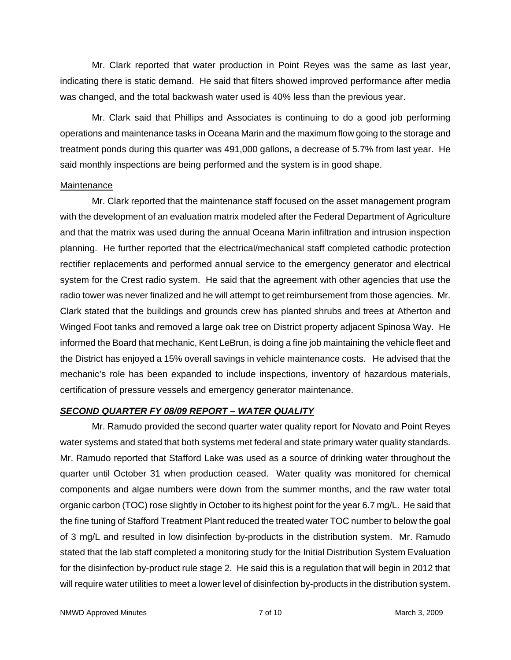Mr. Clark reported that water production in Point Reyes was the same as last year, indicating there is static demand. He said that filters showed improved performance after media was changed, and the total backwash water used is 40% less than the previous year.

Mr. Clark said that Phillips and Associates is continuing to do a good job performing operations and maintenance tasks in Oceana Marin and the maximum flow going to the storage and treatment ponds during this quarter was 491,000 gallons, a decrease of 5.7% from last year. He said monthly inspections are being performed and the system is in good shape.

### Maintenance

Mr. Clark reported that the maintenance staff focused on the asset management program with the development of an evaluation matrix modeled after the Federal Department of Agriculture and that the matrix was used during the annual Oceana Marin infiltration and intrusion inspection planning. He further reported that the electrical/mechanical staff completed cathodic protection rectifier replacements and performed annual service to the emergency generator and electrical system for the Crest radio system. He said that the agreement with other agencies that use the radio tower was never finalized and he will attempt to get reimbursement from those agencies. Mr. Clark stated that the buildings and grounds crew has planted shrubs and trees at Atherton and Winged Foot tanks and removed a large oak tree on District property adjacent Spinosa Way. He informed the Board that mechanic, Kent LeBrun, is doing a fine job maintaining the vehicle fleet and the District has enjoyed a 15% overall savings in vehicle maintenance costs. He advised that the mechanic's role has been expanded to include inspections, inventory of hazardous materials, certification of pressure vessels and emergency generator maintenance.

## *SECOND QUARTER FY 08/09 REPORT – WATER QUALITY*

Mr. Ramudo provided the second quarter water quality report for Novato and Point Reyes water systems and stated that both systems met federal and state primary water quality standards. Mr. Ramudo reported that Stafford Lake was used as a source of drinking water throughout the quarter until October 31 when production ceased. Water quality was monitored for chemical components and algae numbers were down from the summer months, and the raw water total organic carbon (TOC) rose slightly in October to its highest point for the year 6.7 mg/L. He said that the fine tuning of Stafford Treatment Plant reduced the treated water TOC number to below the goal of 3 mg/L and resulted in low disinfection by-products in the distribution system. Mr. Ramudo stated that the lab staff completed a monitoring study for the Initial Distribution System Evaluation for the disinfection by-product rule stage 2. He said this is a regulation that will begin in 2012 that will require water utilities to meet a lower level of disinfection by-products in the distribution system.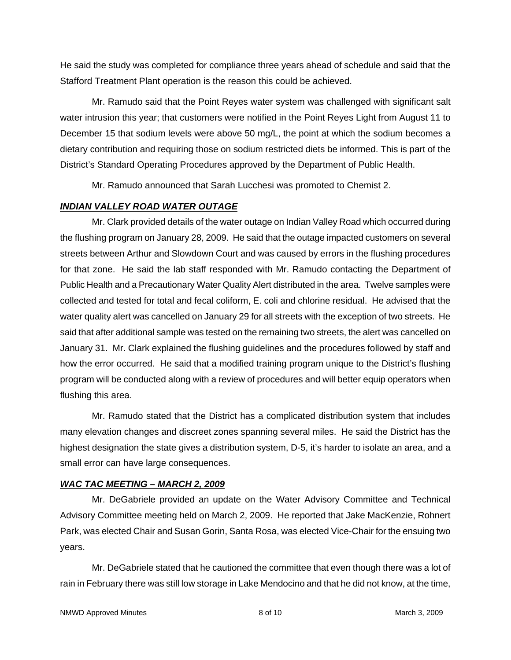He said the study was completed for compliance three years ahead of schedule and said that the Stafford Treatment Plant operation is the reason this could be achieved.

Mr. Ramudo said that the Point Reyes water system was challenged with significant salt water intrusion this year; that customers were notified in the Point Reyes Light from August 11 to December 15 that sodium levels were above 50 mg/L, the point at which the sodium becomes a dietary contribution and requiring those on sodium restricted diets be informed. This is part of the District's Standard Operating Procedures approved by the Department of Public Health.

Mr. Ramudo announced that Sarah Lucchesi was promoted to Chemist 2.

# *INDIAN VALLEY ROAD WATER OUTAGE*

Mr. Clark provided details of the water outage on Indian Valley Road which occurred during the flushing program on January 28, 2009. He said that the outage impacted customers on several streets between Arthur and Slowdown Court and was caused by errors in the flushing procedures for that zone. He said the lab staff responded with Mr. Ramudo contacting the Department of Public Health and a Precautionary Water Quality Alert distributed in the area. Twelve samples were collected and tested for total and fecal coliform, E. coli and chlorine residual. He advised that the water quality alert was cancelled on January 29 for all streets with the exception of two streets. He said that after additional sample was tested on the remaining two streets, the alert was cancelled on January 31. Mr. Clark explained the flushing guidelines and the procedures followed by staff and how the error occurred. He said that a modified training program unique to the District's flushing program will be conducted along with a review of procedures and will better equip operators when flushing this area.

Mr. Ramudo stated that the District has a complicated distribution system that includes many elevation changes and discreet zones spanning several miles. He said the District has the highest designation the state gives a distribution system, D-5, it's harder to isolate an area, and a small error can have large consequences.

# *WAC TAC MEETING – MARCH 2, 2009*

Mr. DeGabriele provided an update on the Water Advisory Committee and Technical Advisory Committee meeting held on March 2, 2009. He reported that Jake MacKenzie, Rohnert Park, was elected Chair and Susan Gorin, Santa Rosa, was elected Vice-Chair for the ensuing two years.

Mr. DeGabriele stated that he cautioned the committee that even though there was a lot of rain in February there was still low storage in Lake Mendocino and that he did not know, at the time,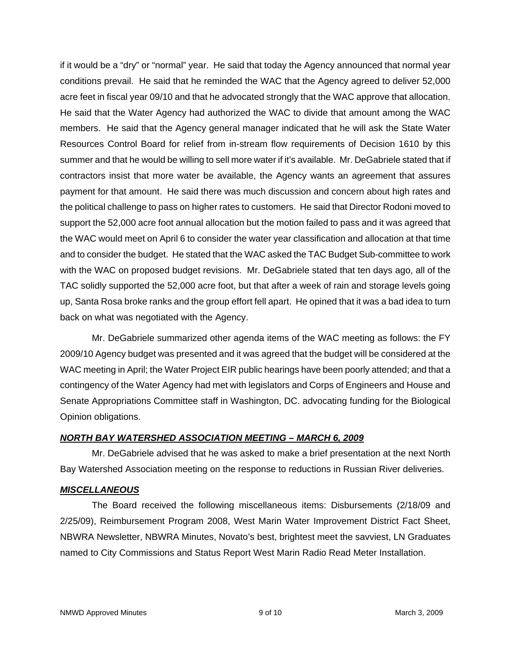if it would be a "dry" or "normal" year. He said that today the Agency announced that normal year conditions prevail. He said that he reminded the WAC that the Agency agreed to deliver 52,000 acre feet in fiscal year 09/10 and that he advocated strongly that the WAC approve that allocation. He said that the Water Agency had authorized the WAC to divide that amount among the WAC members. He said that the Agency general manager indicated that he will ask the State Water Resources Control Board for relief from in-stream flow requirements of Decision 1610 by this summer and that he would be willing to sell more water if it's available. Mr. DeGabriele stated that if contractors insist that more water be available, the Agency wants an agreement that assures payment for that amount. He said there was much discussion and concern about high rates and the political challenge to pass on higher rates to customers. He said that Director Rodoni moved to support the 52,000 acre foot annual allocation but the motion failed to pass and it was agreed that the WAC would meet on April 6 to consider the water year classification and allocation at that time and to consider the budget. He stated that the WAC asked the TAC Budget Sub-committee to work with the WAC on proposed budget revisions. Mr. DeGabriele stated that ten days ago, all of the TAC solidly supported the 52,000 acre foot, but that after a week of rain and storage levels going up, Santa Rosa broke ranks and the group effort fell apart. He opined that it was a bad idea to turn back on what was negotiated with the Agency.

Mr. DeGabriele summarized other agenda items of the WAC meeting as follows: the FY 2009/10 Agency budget was presented and it was agreed that the budget will be considered at the WAC meeting in April; the Water Project EIR public hearings have been poorly attended; and that a contingency of the Water Agency had met with legislators and Corps of Engineers and House and Senate Appropriations Committee staff in Washington, DC. advocating funding for the Biological Opinion obligations.

## *NORTH BAY WATERSHED ASSOCIATION MEETING – MARCH 6, 2009*

Mr. DeGabriele advised that he was asked to make a brief presentation at the next North Bay Watershed Association meeting on the response to reductions in Russian River deliveries.

## *MISCELLANEOUS*

The Board received the following miscellaneous items: Disbursements (2/18/09 and 2/25/09), Reimbursement Program 2008, West Marin Water Improvement District Fact Sheet, NBWRA Newsletter, NBWRA Minutes, Novato's best, brightest meet the savviest, LN Graduates named to City Commissions and Status Report West Marin Radio Read Meter Installation.